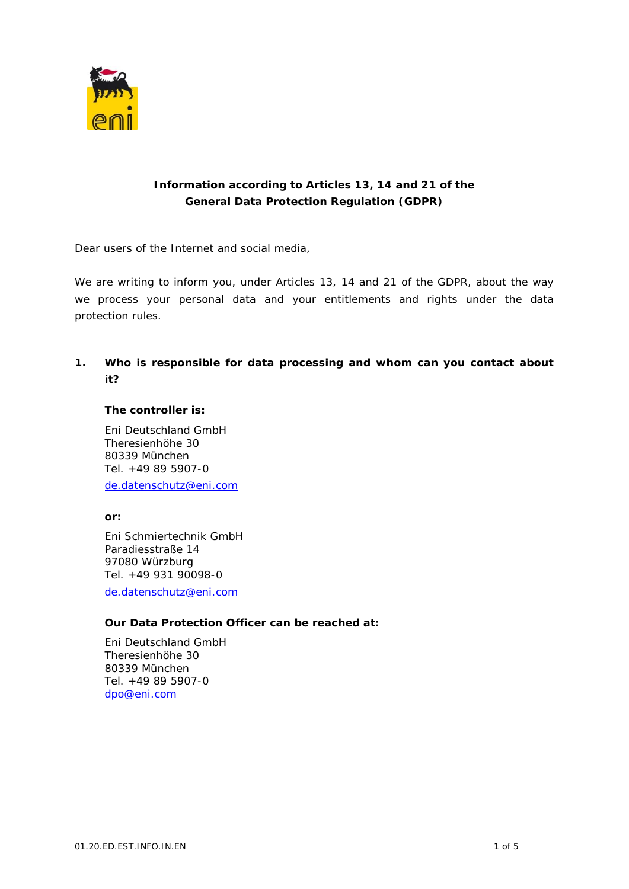

## **Information according to Articles 13, 14 and 21 of the General Data Protection Regulation (GDPR)**

Dear users of the Internet and social media,

We are writing to inform you, under Articles 13, 14 and 21 of the GDPR, about the way we process your personal data and your entitlements and rights under the data protection rules.

**1. Who is responsible for data processing and whom can you contact about it?**

**The controller is:**

Eni Deutschland GmbH Theresienhöhe 30 80339 München Tel. +49 89 5907-0 [de.datenschutz@eni.com](mailto:de.datenschutz@eni.com)

**or:**

Eni Schmiertechnik GmbH Paradiesstraße 14 97080 Würzburg Tel. +49 931 90098-0 [de.datenschutz@eni.com](mailto:de.datenschutz@eni.com)

**Our Data Protection Officer can be reached at:**

Eni Deutschland GmbH Theresienhöhe 30 80339 München Tel. +49 89 5907-0 [dpo@eni.com](mailto:dpo@eni.com)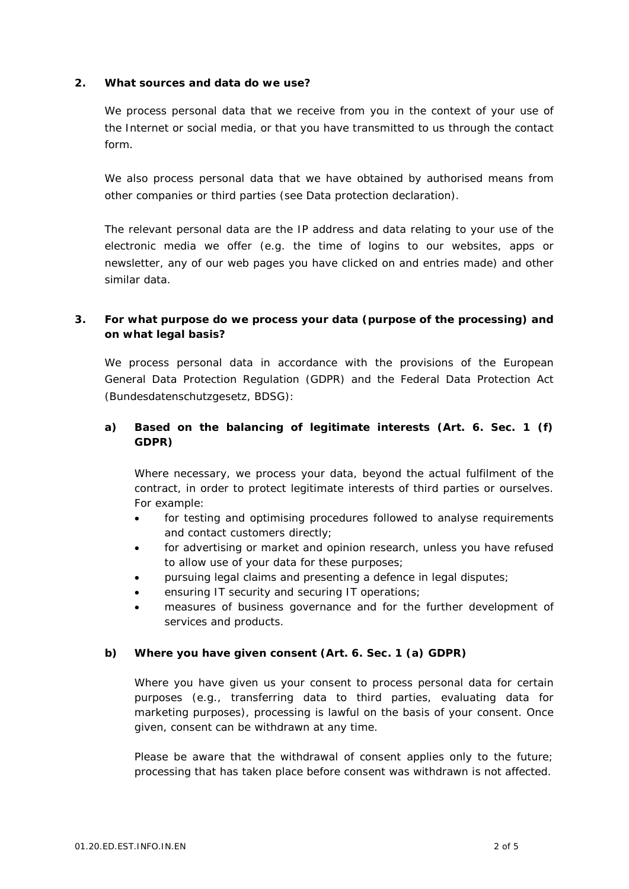**2. What sources and data do we use?**

We process personal data that we receive from you in the context of your use of the Internet or social media, or that you have transmitted to us through the contact form.

We also process personal data that we have obtained by authorised means from other companies or third parties (see Data protection declaration).

The relevant personal data are the IP address and data relating to your use of the electronic media we offer (e.g. the time of logins to our websites, apps or newsletter, any of our web pages you have clicked on and entries made) and other similar data.

**3. For what purpose do we process your data (purpose of the processing) and on what legal basis?**

We process personal data in accordance with the provisions of the European General Data Protection Regulation (GDPR) and the Federal Data Protection Act (Bundesdatenschutzgesetz, BDSG):

**a) Based on the balancing of legitimate interests (Art. 6. Sec. 1 (f) GDPR)**

Where necessary, we process your data, beyond the actual fulfilment of the contract, in order to protect legitimate interests of third parties or ourselves. For example:

- for testing and optimising procedures followed to analyse requirements and contact customers directly;
- for advertising or market and opinion research, unless you have refused to allow use of your data for these purposes;
- pursuing legal claims and presenting a defence in legal disputes;
- ensuring IT security and securing IT operations;
- measures of business governance and for the further development of services and products.
- **b) Where you have given consent (Art. 6. Sec. 1 (a) GDPR)**

Where you have given us your consent to process personal data for certain purposes (e.g., transferring data to third parties, evaluating data for marketing purposes), processing is lawful on the basis of your consent. Once given, consent can be withdrawn at any time.

Please be aware that the withdrawal of consent applies only to the future; processing that has taken place before consent was withdrawn is not affected.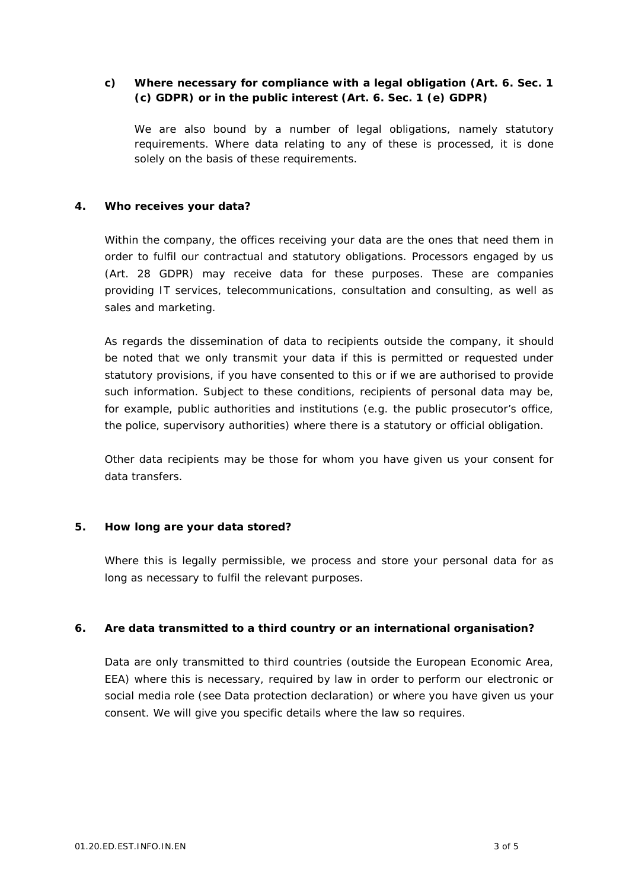**c) Where necessary for compliance with a legal obligation (Art. 6. Sec. 1 (c) GDPR) or in the public interest (Art. 6. Sec. 1 (e) GDPR)**

We are also bound by a number of legal obligations, namely statutory requirements. Where data relating to any of these is processed, it is done solely on the basis of these requirements.

## **4. Who receives your data?**

Within the company, the offices receiving your data are the ones that need them in order to fulfil our contractual and statutory obligations. Processors engaged by us (Art. 28 GDPR) may receive data for these purposes. These are companies providing IT services, telecommunications, consultation and consulting, as well as sales and marketing.

As regards the dissemination of data to recipients outside the company, it should be noted that we only transmit your data if this is permitted or requested under statutory provisions, if you have consented to this or if we are authorised to provide such information. Subject to these conditions, recipients of personal data may be, for example, public authorities and institutions (e.g. the public prosecutor's office, the police, supervisory authorities) where there is a statutory or official obligation.

Other data recipients may be those for whom you have given us your consent for data transfers.

## **5. How long are your data stored?**

Where this is legally permissible, we process and store your personal data for as long as necessary to fulfil the relevant purposes.

## **6. Are data transmitted to a third country or an international organisation?**

Data are only transmitted to third countries (outside the European Economic Area, EEA) where this is necessary, required by law in order to perform our electronic or social media role (see Data protection declaration) or where you have given us your consent. We will give you specific details where the law so requires.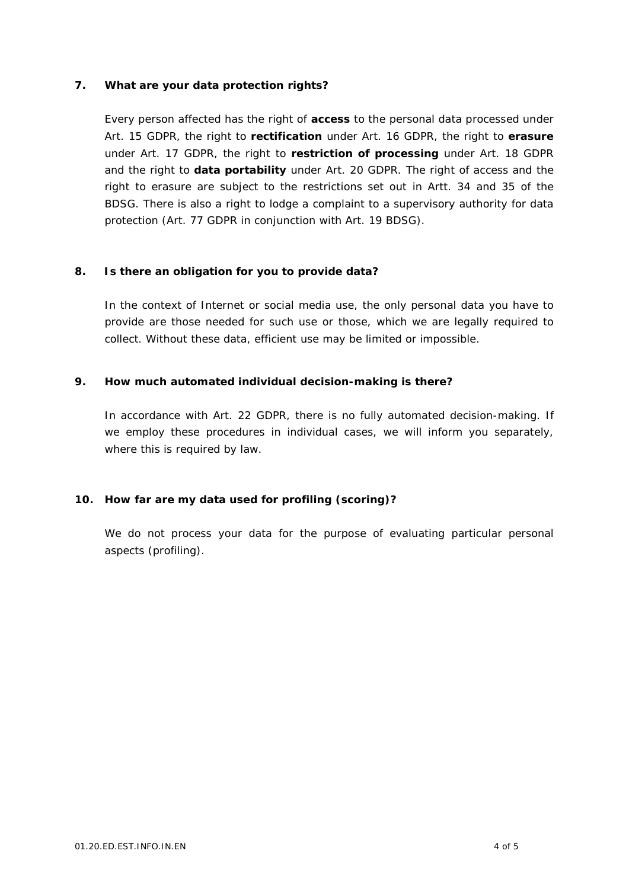**7. What are your data protection rights?**

Every person affected has the right of **access** to the personal data processed under Art. 15 GDPR, the right to **rectification** under Art. 16 GDPR, the right to **erasure** under Art. 17 GDPR, the right to **restriction of processing** under Art. 18 GDPR and the right to **data portability** under Art. 20 GDPR. The right of access and the right to erasure are subject to the restrictions set out in Artt. 34 and 35 of the BDSG. There is also a right to lodge a complaint to a supervisory authority for data protection (Art. 77 GDPR in conjunction with Art. 19 BDSG).

**8. Is there an obligation for you to provide data?**

In the context of Internet or social media use, the only personal data you have to provide are those needed for such use or those, which we are legally required to collect. Without these data, efficient use may be limited or impossible.

**9. How much automated individual decision-making is there?**

In accordance with Art. 22 GDPR, there is no fully automated decision-making. If we employ these procedures in individual cases, we will inform you separately, where this is required by law.

**10. How far are my data used for profiling (scoring)?**

We do not process your data for the purpose of evaluating particular personal aspects (profiling).